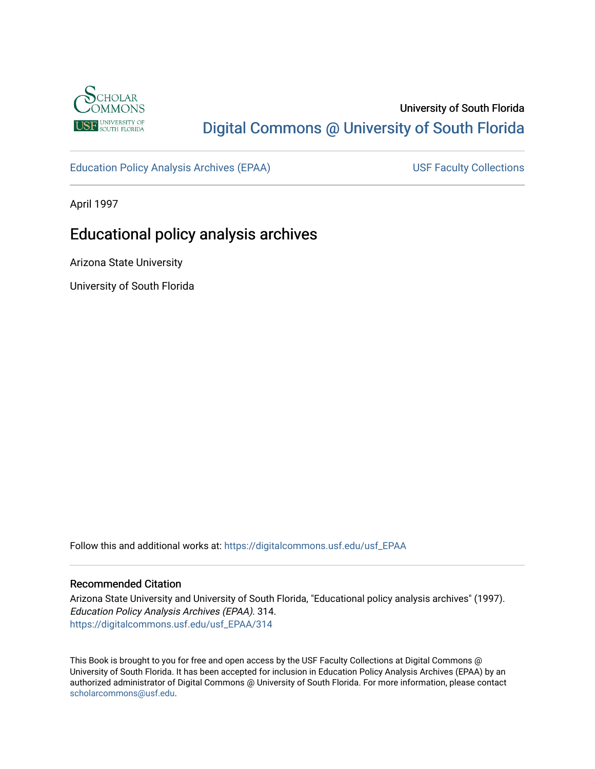

# University of South Florida [Digital Commons @ University of South Florida](https://digitalcommons.usf.edu/)

[Education Policy Analysis Archives \(EPAA\)](https://digitalcommons.usf.edu/usf_EPAA) USF Faculty Collections

April 1997

# Educational policy analysis archives

Arizona State University

University of South Florida

Follow this and additional works at: [https://digitalcommons.usf.edu/usf\\_EPAA](https://digitalcommons.usf.edu/usf_EPAA?utm_source=digitalcommons.usf.edu%2Fusf_EPAA%2F314&utm_medium=PDF&utm_campaign=PDFCoverPages)

#### Recommended Citation

Arizona State University and University of South Florida, "Educational policy analysis archives" (1997). Education Policy Analysis Archives (EPAA). 314. [https://digitalcommons.usf.edu/usf\\_EPAA/314](https://digitalcommons.usf.edu/usf_EPAA/314?utm_source=digitalcommons.usf.edu%2Fusf_EPAA%2F314&utm_medium=PDF&utm_campaign=PDFCoverPages)

This Book is brought to you for free and open access by the USF Faculty Collections at Digital Commons @ University of South Florida. It has been accepted for inclusion in Education Policy Analysis Archives (EPAA) by an authorized administrator of Digital Commons @ University of South Florida. For more information, please contact [scholarcommons@usf.edu.](mailto:scholarcommons@usf.edu)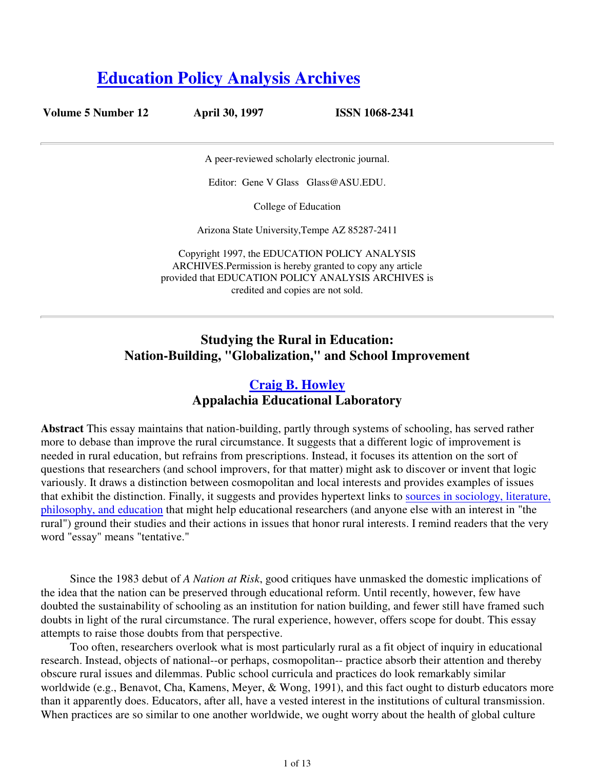# **Education Policy Analysis Archives**

| Volume 5 Number 12 | <b>April 30, 1997</b>                                                                                                                                                                                   | <b>ISSN 1068-2341</b> |
|--------------------|---------------------------------------------------------------------------------------------------------------------------------------------------------------------------------------------------------|-----------------------|
|                    | A peer-reviewed scholarly electronic journal.                                                                                                                                                           |                       |
|                    | Editor: Gene V Glass Glass @ ASU.EDU.                                                                                                                                                                   |                       |
|                    | College of Education                                                                                                                                                                                    |                       |
|                    | Arizona State University, Tempe AZ 85287-2411                                                                                                                                                           |                       |
|                    | Copyright 1997, the EDUCATION POLICY ANALYSIS<br>ARCHIVES. Permission is hereby granted to copy any article<br>provided that EDUCATION POLICY ANALYSIS ARCHIVES is<br>credited and copies are not sold. |                       |
|                    |                                                                                                                                                                                                         |                       |

# **Studying the Rural in Education: Nation-Building, "Globalization," and School Improvement**

# **Craig B. Howley Appalachia Educational Laboratory**

**Abstract** This essay maintains that nation-building, partly through systems of schooling, has served rather more to debase than improve the rural circumstance. It suggests that a different logic of improvement is needed in rural education, but refrains from prescriptions. Instead, it focuses its attention on the sort of questions that researchers (and school improvers, for that matter) might ask to discover or invent that logic variously. It draws a distinction between cosmopolitan and local interests and provides examples of issues that exhibit the distinction. Finally, it suggests and provides hypertext links to sources in sociology, literature, philosophy, and education that might help educational researchers (and anyone else with an interest in "the rural") ground their studies and their actions in issues that honor rural interests. I remind readers that the very word "essay" means "tentative."

Since the 1983 debut of *A Nation at Risk*, good critiques have unmasked the domestic implications of the idea that the nation can be preserved through educational reform. Until recently, however, few have doubted the sustainability of schooling as an institution for nation building, and fewer still have framed such doubts in light of the rural circumstance. The rural experience, however, offers scope for doubt. This essay attempts to raise those doubts from that perspective.

Too often, researchers overlook what is most particularly rural as a fit object of inquiry in educational research. Instead, objects of national--or perhaps, cosmopolitan-- practice absorb their attention and thereby obscure rural issues and dilemmas. Public school curricula and practices do look remarkably similar worldwide (e.g., Benavot, Cha, Kamens, Meyer, & Wong, 1991), and this fact ought to disturb educators more than it apparently does. Educators, after all, have a vested interest in the institutions of cultural transmission. When practices are so similar to one another worldwide, we ought worry about the health of global culture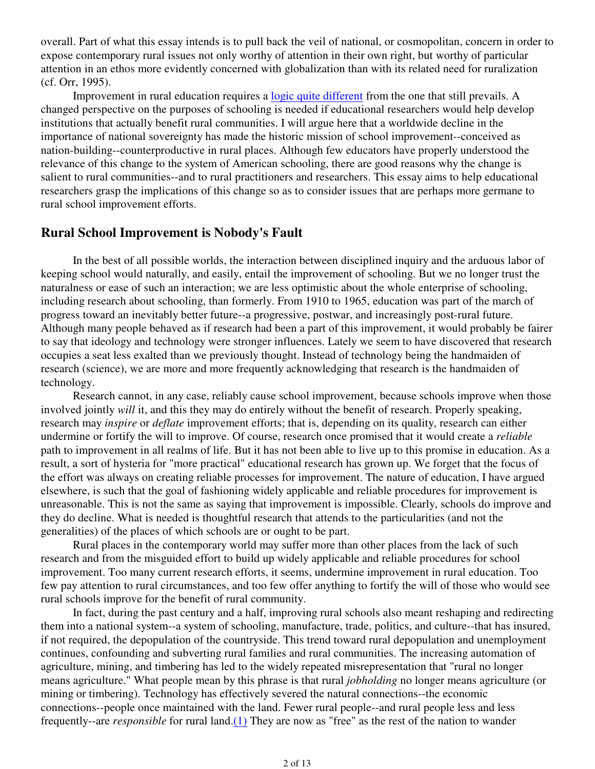overall. Part of what this essay intends is to pull back the veil of national, or cosmopolitan, concern in order to expose contemporary rural issues not only worthy of attention in their own right, but worthy of particular attention in an ethos more evidently concerned with globalization than with its related need for ruralization (cf. Orr, 1995).

 Improvement in rural education requires a logic quite different from the one that still prevails. A changed perspective on the purposes of schooling is needed if educational researchers would help develop institutions that actually benefit rural communities. I will argue here that a worldwide decline in the importance of national sovereignty has made the historic mission of school improvement--conceived as nation-building--counterproductive in rural places. Although few educators have properly understood the relevance of this change to the system of American schooling, there are good reasons why the change is salient to rural communities--and to rural practitioners and researchers. This essay aims to help educational researchers grasp the implications of this change so as to consider issues that are perhaps more germane to rural school improvement efforts.

#### **Rural School Improvement is Nobody's Fault**

 In the best of all possible worlds, the interaction between disciplined inquiry and the arduous labor of keeping school would naturally, and easily, entail the improvement of schooling. But we no longer trust the naturalness or ease of such an interaction; we are less optimistic about the whole enterprise of schooling, including research about schooling, than formerly. From 1910 to 1965, education was part of the march of progress toward an inevitably better future--a progressive, postwar, and increasingly post-rural future. Although many people behaved as if research had been a part of this improvement, it would probably be fairer to say that ideology and technology were stronger influences. Lately we seem to have discovered that research occupies a seat less exalted than we previously thought. Instead of technology being the handmaiden of research (science), we are more and more frequently acknowledging that research is the handmaiden of technology.

 Research cannot, in any case, reliably cause school improvement, because schools improve when those involved jointly *will* it, and this they may do entirely without the benefit of research. Properly speaking, research may *inspire* or *deflate* improvement efforts; that is, depending on its quality, research can either undermine or fortify the will to improve. Of course, research once promised that it would create a *reliable* path to improvement in all realms of life. But it has not been able to live up to this promise in education. As a result, a sort of hysteria for "more practical" educational research has grown up. We forget that the focus of the effort was always on creating reliable processes for improvement. The nature of education, I have argued elsewhere, is such that the goal of fashioning widely applicable and reliable procedures for improvement is unreasonable. This is not the same as saying that improvement is impossible. Clearly, schools do improve and they do decline. What is needed is thoughtful research that attends to the particularities (and not the generalities) of the places of which schools are or ought to be part.

 Rural places in the contemporary world may suffer more than other places from the lack of such research and from the misguided effort to build up widely applicable and reliable procedures for school improvement. Too many current research efforts, it seems, undermine improvement in rural education. Too few pay attention to rural circumstances, and too few offer anything to fortify the will of those who would see rural schools improve for the benefit of rural community.

 In fact, during the past century and a half, improving rural schools also meant reshaping and redirecting them into a national system--a system of schooling, manufacture, trade, politics, and culture--that has insured, if not required, the depopulation of the countryside. This trend toward rural depopulation and unemployment continues, confounding and subverting rural families and rural communities. The increasing automation of agriculture, mining, and timbering has led to the widely repeated misrepresentation that "rural no longer means agriculture." What people mean by this phrase is that rural *jobholding* no longer means agriculture (or mining or timbering). Technology has effectively severed the natural connections--the economic connections--people once maintained with the land. Fewer rural people--and rural people less and less frequently--are *responsible* for rural land.(1) They are now as "free" as the rest of the nation to wander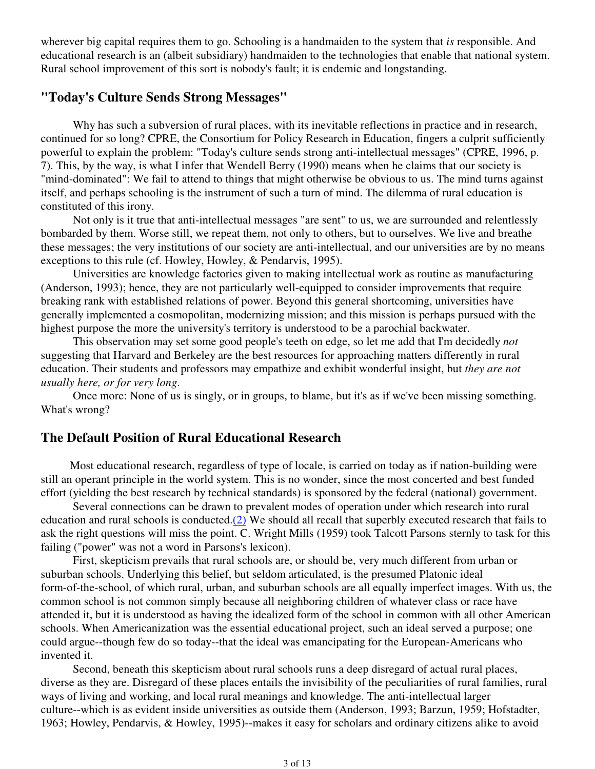wherever big capital requires them to go. Schooling is a handmaiden to the system that *is* responsible. And educational research is an (albeit subsidiary) handmaiden to the technologies that enable that national system. Rural school improvement of this sort is nobody's fault; it is endemic and longstanding.

# **"Today's Culture Sends Strong Messages"**

 Why has such a subversion of rural places, with its inevitable reflections in practice and in research, continued for so long? CPRE, the Consortium for Policy Research in Education, fingers a culprit sufficiently powerful to explain the problem: "Today's culture sends strong anti-intellectual messages" (CPRE, 1996, p. 7). This, by the way, is what I infer that Wendell Berry (1990) means when he claims that our society is "mind-dominated": We fail to attend to things that might otherwise be obvious to us. The mind turns against itself, and perhaps schooling is the instrument of such a turn of mind. The dilemma of rural education is constituted of this irony.

 Not only is it true that anti-intellectual messages "are sent" to us, we are surrounded and relentlessly bombarded by them. Worse still, we repeat them, not only to others, but to ourselves. We live and breathe these messages; the very institutions of our society are anti-intellectual, and our universities are by no means exceptions to this rule (cf. Howley, Howley, & Pendarvis, 1995).

 Universities are knowledge factories given to making intellectual work as routine as manufacturing (Anderson, 1993); hence, they are not particularly well-equipped to consider improvements that require breaking rank with established relations of power. Beyond this general shortcoming, universities have generally implemented a cosmopolitan, modernizing mission; and this mission is perhaps pursued with the highest purpose the more the university's territory is understood to be a parochial backwater.

 This observation may set some good people's teeth on edge, so let me add that I'm decidedly *not* suggesting that Harvard and Berkeley are the best resources for approaching matters differently in rural education. Their students and professors may empathize and exhibit wonderful insight, but *they are not usually here, or for very long*.

 Once more: None of us is singly, or in groups, to blame, but it's as if we've been missing something. What's wrong?

#### **The Default Position of Rural Educational Research**

Most educational research, regardless of type of locale, is carried on today as if nation-building were still an operant principle in the world system. This is no wonder, since the most concerted and best funded effort (yielding the best research by technical standards) is sponsored by the federal (national) government.

 Several connections can be drawn to prevalent modes of operation under which research into rural education and rural schools is conducted.(2) We should all recall that superbly executed research that fails to ask the right questions will miss the point. C. Wright Mills (1959) took Talcott Parsons sternly to task for this failing ("power" was not a word in Parsons's lexicon).

 First, skepticism prevails that rural schools are, or should be, very much different from urban or suburban schools. Underlying this belief, but seldom articulated, is the presumed Platonic ideal form-of-the-school, of which rural, urban, and suburban schools are all equally imperfect images. With us, the common school is not common simply because all neighboring children of whatever class or race have attended it, but it is understood as having the idealized form of the school in common with all other American schools. When Americanization was the essential educational project, such an ideal served a purpose; one could argue--though few do so today--that the ideal was emancipating for the European-Americans who invented it.

 Second, beneath this skepticism about rural schools runs a deep disregard of actual rural places, diverse as they are. Disregard of these places entails the invisibility of the peculiarities of rural families, rural ways of living and working, and local rural meanings and knowledge. The anti-intellectual larger culture--which is as evident inside universities as outside them (Anderson, 1993; Barzun, 1959; Hofstadter, 1963; Howley, Pendarvis, & Howley, 1995)--makes it easy for scholars and ordinary citizens alike to avoid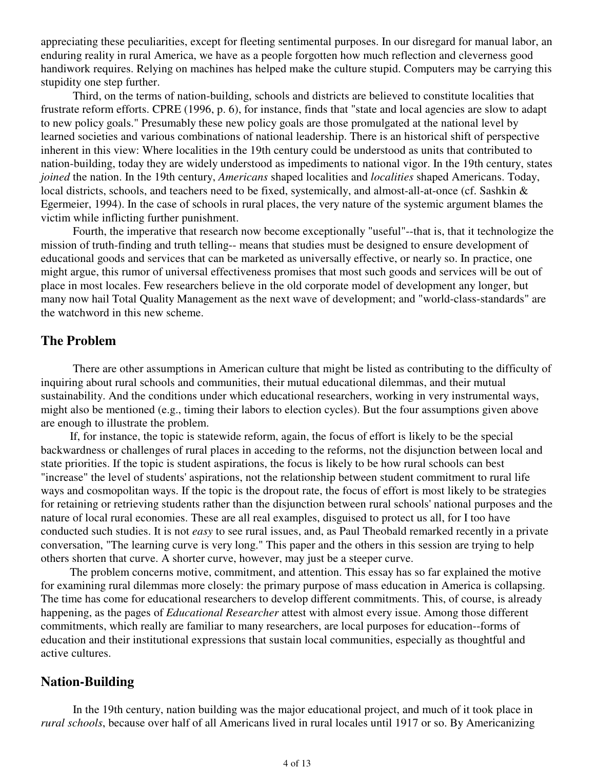appreciating these peculiarities, except for fleeting sentimental purposes. In our disregard for manual labor, an enduring reality in rural America, we have as a people forgotten how much reflection and cleverness good handiwork requires. Relying on machines has helped make the culture stupid. Computers may be carrying this stupidity one step further.

 Third, on the terms of nation-building, schools and districts are believed to constitute localities that frustrate reform efforts. CPRE (1996, p. 6), for instance, finds that "state and local agencies are slow to adapt to new policy goals." Presumably these new policy goals are those promulgated at the national level by learned societies and various combinations of national leadership. There is an historical shift of perspective inherent in this view: Where localities in the 19th century could be understood as units that contributed to nation-building, today they are widely understood as impediments to national vigor. In the 19th century, states *joined* the nation. In the 19th century, *Americans* shaped localities and *localities* shaped Americans. Today, local districts, schools, and teachers need to be fixed, systemically, and almost-all-at-once (cf. Sashkin & Egermeier, 1994). In the case of schools in rural places, the very nature of the systemic argument blames the victim while inflicting further punishment.

 Fourth, the imperative that research now become exceptionally "useful"--that is, that it technologize the mission of truth-finding and truth telling-- means that studies must be designed to ensure development of educational goods and services that can be marketed as universally effective, or nearly so. In practice, one might argue, this rumor of universal effectiveness promises that most such goods and services will be out of place in most locales. Few researchers believe in the old corporate model of development any longer, but many now hail Total Quality Management as the next wave of development; and "world-class-standards" are the watchword in this new scheme.

#### **The Problem**

 There are other assumptions in American culture that might be listed as contributing to the difficulty of inquiring about rural schools and communities, their mutual educational dilemmas, and their mutual sustainability. And the conditions under which educational researchers, working in very instrumental ways, might also be mentioned (e.g., timing their labors to election cycles). But the four assumptions given above are enough to illustrate the problem.

If, for instance, the topic is statewide reform, again, the focus of effort is likely to be the special backwardness or challenges of rural places in acceding to the reforms, not the disjunction between local and state priorities. If the topic is student aspirations, the focus is likely to be how rural schools can best "increase" the level of students' aspirations, not the relationship between student commitment to rural life ways and cosmopolitan ways. If the topic is the dropout rate, the focus of effort is most likely to be strategies for retaining or retrieving students rather than the disjunction between rural schools' national purposes and the nature of local rural economies. These are all real examples, disguised to protect us all, for I too have conducted such studies. It is not *easy* to see rural issues, and, as Paul Theobald remarked recently in a private conversation, "The learning curve is very long." This paper and the others in this session are trying to help others shorten that curve. A shorter curve, however, may just be a steeper curve.

The problem concerns motive, commitment, and attention. This essay has so far explained the motive for examining rural dilemmas more closely: the primary purpose of mass education in America is collapsing. The time has come for educational researchers to develop different commitments. This, of course, is already happening, as the pages of *Educational Researcher* attest with almost every issue. Among those different commitments, which really are familiar to many researchers, are local purposes for education--forms of education and their institutional expressions that sustain local communities, especially as thoughtful and active cultures.

## **Nation-Building**

 In the 19th century, nation building was the major educational project, and much of it took place in *rural schools*, because over half of all Americans lived in rural locales until 1917 or so. By Americanizing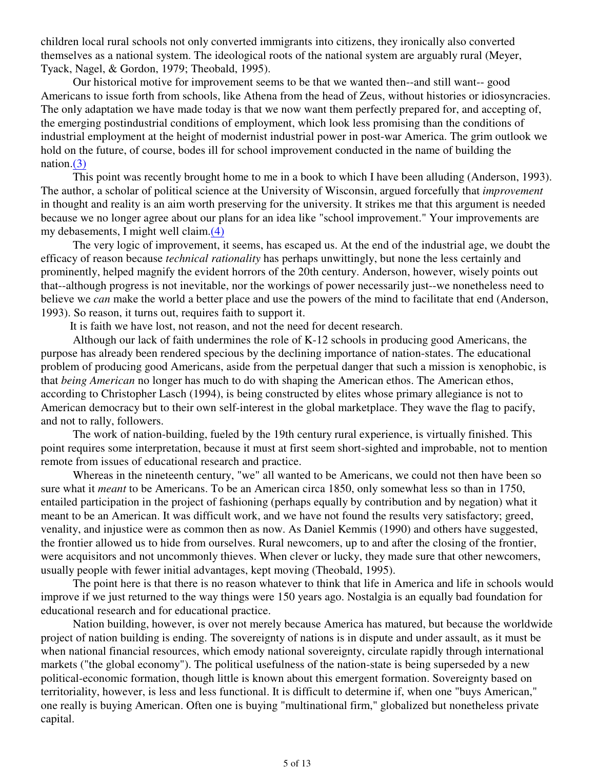children local rural schools not only converted immigrants into citizens, they ironically also converted themselves as a national system. The ideological roots of the national system are arguably rural (Meyer, Tyack, Nagel, & Gordon, 1979; Theobald, 1995).

 Our historical motive for improvement seems to be that we wanted then--and still want-- good Americans to issue forth from schools, like Athena from the head of Zeus, without histories or idiosyncracies. The only adaptation we have made today is that we now want them perfectly prepared for, and accepting of, the emerging postindustrial conditions of employment, which look less promising than the conditions of industrial employment at the height of modernist industrial power in post-war America. The grim outlook we hold on the future, of course, bodes ill for school improvement conducted in the name of building the nation.(3)

 This point was recently brought home to me in a book to which I have been alluding (Anderson, 1993). The author, a scholar of political science at the University of Wisconsin, argued forcefully that *improvement* in thought and reality is an aim worth preserving for the university. It strikes me that this argument is needed because we no longer agree about our plans for an idea like "school improvement." Your improvements are my debasements, I might well claim.(4)

 The very logic of improvement, it seems, has escaped us. At the end of the industrial age, we doubt the efficacy of reason because *technical rationality* has perhaps unwittingly, but none the less certainly and prominently, helped magnify the evident horrors of the 20th century. Anderson, however, wisely points out that--although progress is not inevitable, nor the workings of power necessarily just--we nonetheless need to believe we *can* make the world a better place and use the powers of the mind to facilitate that end (Anderson, 1993). So reason, it turns out, requires faith to support it.

It is faith we have lost, not reason, and not the need for decent research.

 Although our lack of faith undermines the role of K-12 schools in producing good Americans, the purpose has already been rendered specious by the declining importance of nation-states. The educational problem of producing good Americans, aside from the perpetual danger that such a mission is xenophobic, is that *being American* no longer has much to do with shaping the American ethos. The American ethos, according to Christopher Lasch (1994), is being constructed by elites whose primary allegiance is not to American democracy but to their own self-interest in the global marketplace. They wave the flag to pacify, and not to rally, followers.

 The work of nation-building, fueled by the 19th century rural experience, is virtually finished. This point requires some interpretation, because it must at first seem short-sighted and improbable, not to mention remote from issues of educational research and practice.

 Whereas in the nineteenth century, "we" all wanted to be Americans, we could not then have been so sure what it *meant* to be Americans. To be an American circa 1850, only somewhat less so than in 1750, entailed participation in the project of fashioning (perhaps equally by contribution and by negation) what it meant to be an American. It was difficult work, and we have not found the results very satisfactory; greed, venality, and injustice were as common then as now. As Daniel Kemmis (1990) and others have suggested, the frontier allowed us to hide from ourselves. Rural newcomers, up to and after the closing of the frontier, were acquisitors and not uncommonly thieves. When clever or lucky, they made sure that other newcomers, usually people with fewer initial advantages, kept moving (Theobald, 1995).

 The point here is that there is no reason whatever to think that life in America and life in schools would improve if we just returned to the way things were 150 years ago. Nostalgia is an equally bad foundation for educational research and for educational practice.

 Nation building, however, is over not merely because America has matured, but because the worldwide project of nation building is ending. The sovereignty of nations is in dispute and under assault, as it must be when national financial resources, which emody national sovereignty, circulate rapidly through international markets ("the global economy"). The political usefulness of the nation-state is being superseded by a new political-economic formation, though little is known about this emergent formation. Sovereignty based on territoriality, however, is less and less functional. It is difficult to determine if, when one "buys American," one really is buying American. Often one is buying "multinational firm," globalized but nonetheless private capital.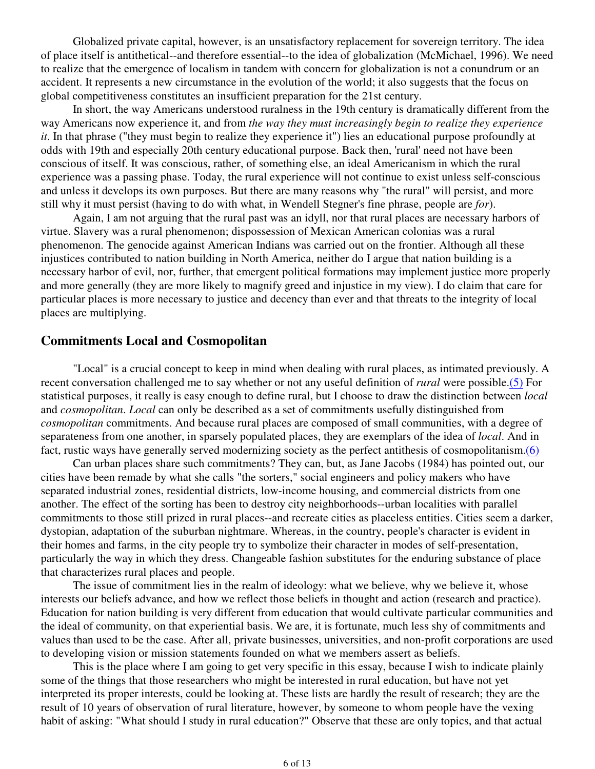Globalized private capital, however, is an unsatisfactory replacement for sovereign territory. The idea of place itself is antithetical--and therefore essential--to the idea of globalization (McMichael, 1996). We need to realize that the emergence of localism in tandem with concern for globalization is not a conundrum or an accident. It represents a new circumstance in the evolution of the world; it also suggests that the focus on global competitiveness constitutes an insufficient preparation for the 21st century.

 In short, the way Americans understood ruralness in the 19th century is dramatically different from the way Americans now experience it, and from *the way they must increasingly begin to realize they experience it*. In that phrase ("they must begin to realize they experience it") lies an educational purpose profoundly at odds with 19th and especially 20th century educational purpose. Back then, 'rural' need not have been conscious of itself. It was conscious, rather, of something else, an ideal Americanism in which the rural experience was a passing phase. Today, the rural experience will not continue to exist unless self-conscious and unless it develops its own purposes. But there are many reasons why "the rural" will persist, and more still why it must persist (having to do with what, in Wendell Stegner's fine phrase, people are *for*).

 Again, I am not arguing that the rural past was an idyll, nor that rural places are necessary harbors of virtue. Slavery was a rural phenomenon; dispossession of Mexican American colonias was a rural phenomenon. The genocide against American Indians was carried out on the frontier. Although all these injustices contributed to nation building in North America, neither do I argue that nation building is a necessary harbor of evil, nor, further, that emergent political formations may implement justice more properly and more generally (they are more likely to magnify greed and injustice in my view). I do claim that care for particular places is more necessary to justice and decency than ever and that threats to the integrity of local places are multiplying.

## **Commitments Local and Cosmopolitan**

 "Local" is a crucial concept to keep in mind when dealing with rural places, as intimated previously. A recent conversation challenged me to say whether or not any useful definition of *rural* were possible.(5) For statistical purposes, it really is easy enough to define rural, but I choose to draw the distinction between *local* and *cosmopolitan*. *Local* can only be described as a set of commitments usefully distinguished from *cosmopolitan* commitments. And because rural places are composed of small communities, with a degree of separateness from one another, in sparsely populated places, they are exemplars of the idea of *local*. And in fact, rustic ways have generally served modernizing society as the perfect antithesis of cosmopolitanism.(6)

 Can urban places share such commitments? They can, but, as Jane Jacobs (1984) has pointed out, our cities have been remade by what she calls "the sorters," social engineers and policy makers who have separated industrial zones, residential districts, low-income housing, and commercial districts from one another. The effect of the sorting has been to destroy city neighborhoods--urban localities with parallel commitments to those still prized in rural places--and recreate cities as placeless entities. Cities seem a darker, dystopian, adaptation of the suburban nightmare. Whereas, in the country, people's character is evident in their homes and farms, in the city people try to symbolize their character in modes of self-presentation, particularly the way in which they dress. Changeable fashion substitutes for the enduring substance of place that characterizes rural places and people.

 The issue of commitment lies in the realm of ideology: what we believe, why we believe it, whose interests our beliefs advance, and how we reflect those beliefs in thought and action (research and practice). Education for nation building is very different from education that would cultivate particular communities and the ideal of community, on that experiential basis. We are, it is fortunate, much less shy of commitments and values than used to be the case. After all, private businesses, universities, and non-profit corporations are used to developing vision or mission statements founded on what we members assert as beliefs.

 This is the place where I am going to get very specific in this essay, because I wish to indicate plainly some of the things that those researchers who might be interested in rural education, but have not yet interpreted its proper interests, could be looking at. These lists are hardly the result of research; they are the result of 10 years of observation of rural literature, however, by someone to whom people have the vexing habit of asking: "What should I study in rural education?" Observe that these are only topics, and that actual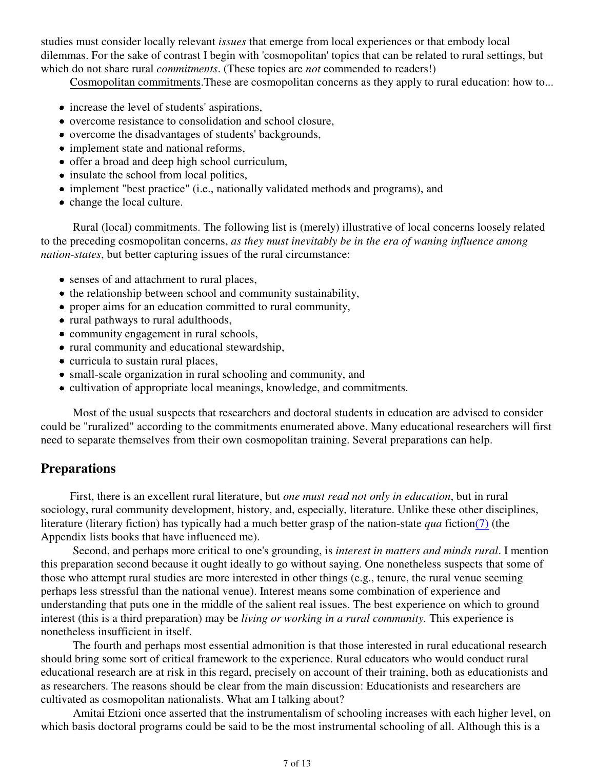studies must consider locally relevant *issues* that emerge from local experiences or that embody local dilemmas. For the sake of contrast I begin with 'cosmopolitan' topics that can be related to rural settings, but which do not share rural *commitments*. (These topics are *not* commended to readers!)

Cosmopolitan commitments.These are cosmopolitan concerns as they apply to rural education: how to...

- increase the level of students' aspirations,
- overcome resistance to consolidation and school closure,
- overcome the disadvantages of students' backgrounds,
- implement state and national reforms,
- offer a broad and deep high school curriculum,
- insulate the school from local politics,
- implement "best practice" (i.e., nationally validated methods and programs), and
- change the local culture.

 Rural (local) commitments. The following list is (merely) illustrative of local concerns loosely related to the preceding cosmopolitan concerns, *as they must inevitably be in the era of waning influence among nation-states*, but better capturing issues of the rural circumstance:

- senses of and attachment to rural places,
- the relationship between school and community sustainability,
- proper aims for an education committed to rural community,
- rural pathways to rural adulthoods,
- community engagement in rural schools,
- rural community and educational stewardship,
- curricula to sustain rural places,
- small-scale organization in rural schooling and community, and
- cultivation of appropriate local meanings, knowledge, and commitments.

 Most of the usual suspects that researchers and doctoral students in education are advised to consider could be "ruralized" according to the commitments enumerated above. Many educational researchers will first need to separate themselves from their own cosmopolitan training. Several preparations can help.

#### **Preparations**

First, there is an excellent rural literature, but *one must read not only in education*, but in rural sociology, rural community development, history, and, especially, literature. Unlike these other disciplines, literature (literary fiction) has typically had a much better grasp of the nation-state *qua* fiction(7) (the Appendix lists books that have influenced me).

 Second, and perhaps more critical to one's grounding, is *interest in matters and minds rural*. I mention this preparation second because it ought ideally to go without saying. One nonetheless suspects that some of those who attempt rural studies are more interested in other things (e.g., tenure, the rural venue seeming perhaps less stressful than the national venue). Interest means some combination of experience and understanding that puts one in the middle of the salient real issues. The best experience on which to ground interest (this is a third preparation) may be *living or working in a rural community.* This experience is nonetheless insufficient in itself.

 The fourth and perhaps most essential admonition is that those interested in rural educational research should bring some sort of critical framework to the experience. Rural educators who would conduct rural educational research are at risk in this regard, precisely on account of their training, both as educationists and as researchers. The reasons should be clear from the main discussion: Educationists and researchers are cultivated as cosmopolitan nationalists. What am I talking about?

 Amitai Etzioni once asserted that the instrumentalism of schooling increases with each higher level, on which basis doctoral programs could be said to be the most instrumental schooling of all. Although this is a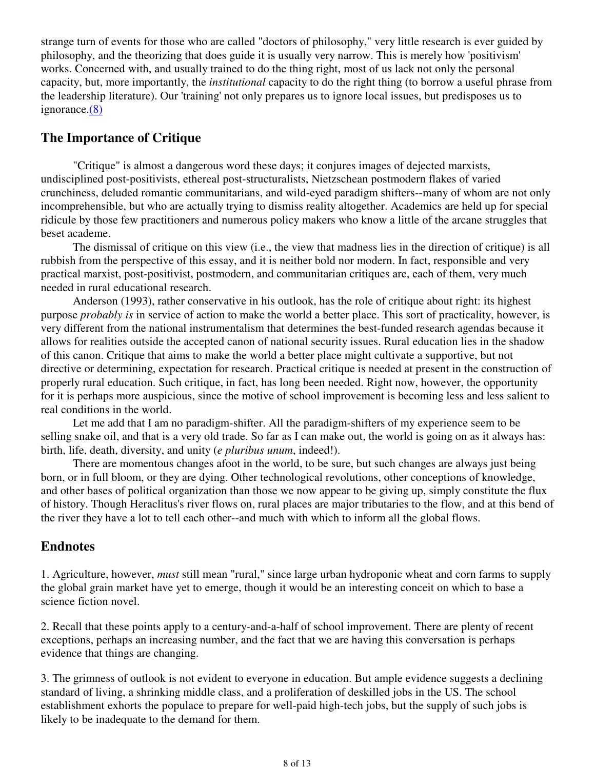strange turn of events for those who are called "doctors of philosophy," very little research is ever guided by philosophy, and the theorizing that does guide it is usually very narrow. This is merely how 'positivism' works. Concerned with, and usually trained to do the thing right, most of us lack not only the personal capacity, but, more importantly, the *institutional* capacity to do the right thing (to borrow a useful phrase from the leadership literature). Our 'training' not only prepares us to ignore local issues, but predisposes us to ignorance.(8)

# **The Importance of Critique**

 "Critique" is almost a dangerous word these days; it conjures images of dejected marxists, undisciplined post-positivists, ethereal post-structuralists, Nietzschean postmodern flakes of varied crunchiness, deluded romantic communitarians, and wild-eyed paradigm shifters--many of whom are not only incomprehensible, but who are actually trying to dismiss reality altogether. Academics are held up for special ridicule by those few practitioners and numerous policy makers who know a little of the arcane struggles that beset academe.

 The dismissal of critique on this view (i.e., the view that madness lies in the direction of critique) is all rubbish from the perspective of this essay, and it is neither bold nor modern. In fact, responsible and very practical marxist, post-positivist, postmodern, and communitarian critiques are, each of them, very much needed in rural educational research.

 Anderson (1993), rather conservative in his outlook, has the role of critique about right: its highest purpose *probably is* in service of action to make the world a better place. This sort of practicality, however, is very different from the national instrumentalism that determines the best-funded research agendas because it allows for realities outside the accepted canon of national security issues. Rural education lies in the shadow of this canon. Critique that aims to make the world a better place might cultivate a supportive, but not directive or determining, expectation for research. Practical critique is needed at present in the construction of properly rural education. Such critique, in fact, has long been needed. Right now, however, the opportunity for it is perhaps more auspicious, since the motive of school improvement is becoming less and less salient to real conditions in the world.

 Let me add that I am no paradigm-shifter. All the paradigm-shifters of my experience seem to be selling snake oil, and that is a very old trade. So far as I can make out, the world is going on as it always has: birth, life, death, diversity, and unity (*e pluribus unum*, indeed!).

 There are momentous changes afoot in the world, to be sure, but such changes are always just being born, or in full bloom, or they are dying. Other technological revolutions, other conceptions of knowledge, and other bases of political organization than those we now appear to be giving up, simply constitute the flux of history. Though Heraclitus's river flows on, rural places are major tributaries to the flow, and at this bend of the river they have a lot to tell each other--and much with which to inform all the global flows.

# **Endnotes**

1. Agriculture, however, *must* still mean "rural," since large urban hydroponic wheat and corn farms to supply the global grain market have yet to emerge, though it would be an interesting conceit on which to base a science fiction novel.

2. Recall that these points apply to a century-and-a-half of school improvement. There are plenty of recent exceptions, perhaps an increasing number, and the fact that we are having this conversation is perhaps evidence that things are changing.

3. The grimness of outlook is not evident to everyone in education. But ample evidence suggests a declining standard of living, a shrinking middle class, and a proliferation of deskilled jobs in the US. The school establishment exhorts the populace to prepare for well-paid high-tech jobs, but the supply of such jobs is likely to be inadequate to the demand for them.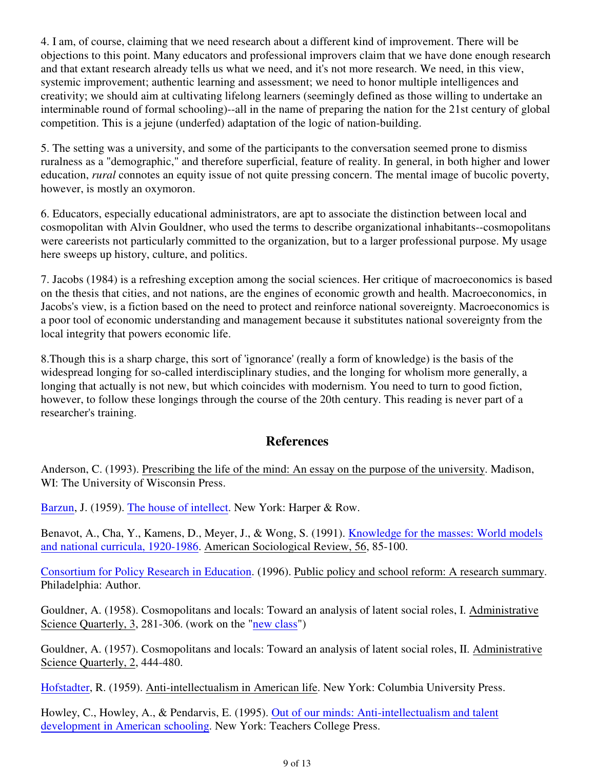4. I am, of course, claiming that we need research about a different kind of improvement. There will be objections to this point. Many educators and professional improvers claim that we have done enough research and that extant research already tells us what we need, and it's not more research. We need, in this view, systemic improvement; authentic learning and assessment; we need to honor multiple intelligences and creativity; we should aim at cultivating lifelong learners (seemingly defined as those willing to undertake an interminable round of formal schooling)--all in the name of preparing the nation for the 21st century of global competition. This is a jejune (underfed) adaptation of the logic of nation-building.

5. The setting was a university, and some of the participants to the conversation seemed prone to dismiss ruralness as a "demographic," and therefore superficial, feature of reality. In general, in both higher and lower education, *rural* connotes an equity issue of not quite pressing concern. The mental image of bucolic poverty, however, is mostly an oxymoron.

6. Educators, especially educational administrators, are apt to associate the distinction between local and cosmopolitan with Alvin Gouldner, who used the terms to describe organizational inhabitants--cosmopolitans were careerists not particularly committed to the organization, but to a larger professional purpose. My usage here sweeps up history, culture, and politics.

7. Jacobs (1984) is a refreshing exception among the social sciences. Her critique of macroeconomics is based on the thesis that cities, and not nations, are the engines of economic growth and health. Macroeconomics, in Jacobs's view, is a fiction based on the need to protect and reinforce national sovereignty. Macroeconomics is a poor tool of economic understanding and management because it substitutes national sovereignty from the local integrity that powers economic life.

8.Though this is a sharp charge, this sort of 'ignorance' (really a form of knowledge) is the basis of the widespread longing for so-called interdisciplinary studies, and the longing for wholism more generally, a longing that actually is not new, but which coincides with modernism. You need to turn to good fiction, however, to follow these longings through the course of the 20th century. This reading is never part of a researcher's training.

## **References**

Anderson, C. (1993). Prescribing the life of the mind: An essay on the purpose of the university. Madison, WI: The University of Wisconsin Press.

Barzun, J. (1959). The house of intellect. New York: Harper & Row.

Benavot, A., Cha, Y., Kamens, D., Meyer, J., & Wong, S. (1991). Knowledge for the masses: World models and national curricula, 1920-1986. American Sociological Review, 56, 85-100.

Consortium for Policy Research in Education. (1996). Public policy and school reform: A research summary. Philadelphia: Author.

Gouldner, A. (1958). Cosmopolitans and locals: Toward an analysis of latent social roles, I. Administrative Science Quarterly, 3, 281-306. (work on the "new class")

Gouldner, A. (1957). Cosmopolitans and locals: Toward an analysis of latent social roles, II. Administrative Science Quarterly, 2, 444-480.

Hofstadter, R. (1959). Anti-intellectualism in American life. New York: Columbia University Press.

Howley, C., Howley, A., & Pendarvis, E. (1995). Out of our minds: Anti-intellectualism and talent development in American schooling. New York: Teachers College Press.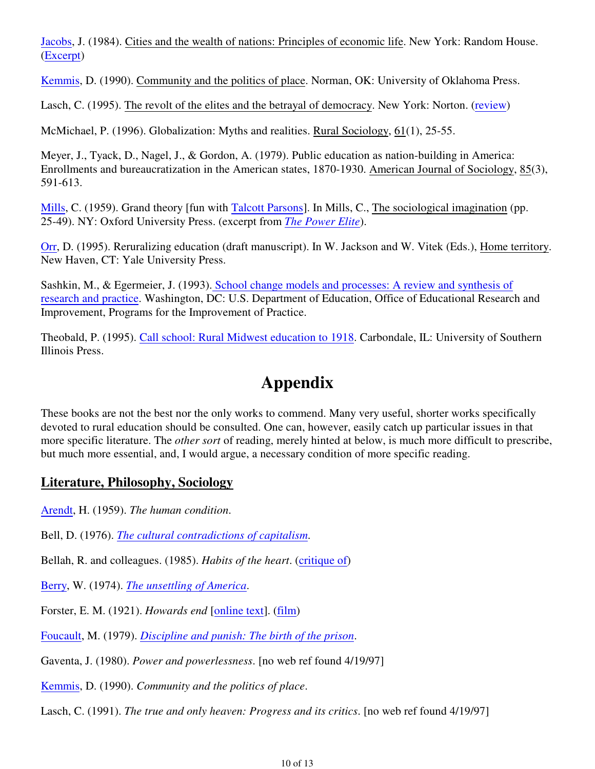Jacobs, J. (1984). Cities and the wealth of nations: Principles of economic life. New York: Random House. (Excerpt)

Kemmis, D. (1990). Community and the politics of place. Norman, OK: University of Oklahoma Press.

Lasch, C. (1995). The revolt of the elites and the betrayal of democracy. New York: Norton. (review)

McMichael, P. (1996). Globalization: Myths and realities. Rural Sociology, 61(1), 25-55.

Meyer, J., Tyack, D., Nagel, J., & Gordon, A. (1979). Public education as nation-building in America: Enrollments and bureaucratization in the American states, 1870-1930. American Journal of Sociology, 85(3), 591-613.

Mills, C. (1959). Grand theory [fun with Talcott Parsons]. In Mills, C., The sociological imagination (pp. 25-49). NY: Oxford University Press. (excerpt from *The Power Elite*).

Orr, D. (1995). Reruralizing education (draft manuscript). In W. Jackson and W. Vitek (Eds.), Home territory. New Haven, CT: Yale University Press.

Sashkin, M., & Egermeier, J. (1993). School change models and processes: A review and synthesis of research and practice. Washington, DC: U.S. Department of Education, Office of Educational Research and Improvement, Programs for the Improvement of Practice.

Theobald, P. (1995). Call school: Rural Midwest education to 1918. Carbondale, IL: University of Southern Illinois Press.

# **Appendix**

These books are not the best nor the only works to commend. Many very useful, shorter works specifically devoted to rural education should be consulted. One can, however, easily catch up particular issues in that more specific literature. The *other sort* of reading, merely hinted at below, is much more difficult to prescribe, but much more essential, and, I would argue, a necessary condition of more specific reading.

# **Literature, Philosophy, Sociology**

Arendt, H. (1959). *The human condition*.

Bell, D. (1976). *The cultural contradictions of capitalism*.

Bellah, R. and colleagues. (1985). *Habits of the heart*. (critique of)

Berry, W. (1974). *The unsettling of America*.

Forster, E. M. (1921). *Howards end* [online text]. (film)

Foucault, M. (1979). *Discipline and punish: The birth of the prison*.

Gaventa, J. (1980). *Power and powerlessness*. [no web ref found 4/19/97]

Kemmis, D. (1990). *Community and the politics of place*.

Lasch, C. (1991). *The true and only heaven: Progress and its critics*. [no web ref found 4/19/97]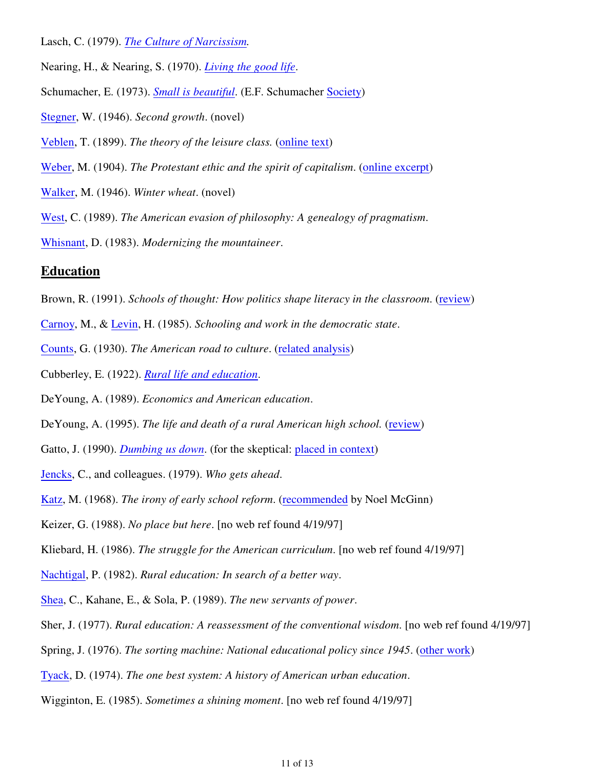- Lasch, C. (1979). *The Culture of Narcissism.*
- Nearing, H., & Nearing, S. (1970). *Living the good life*.
- Schumacher, E. (1973). *Small is beautiful*. (E.F. Schumacher Society)
- Stegner, W. (1946). *Second growth*. (novel)
- Veblen, T. (1899). *The theory of the leisure class.* (online text)
- Weber, M. (1904). *The Protestant ethic and the spirit of capitalism*. (online excerpt)
- Walker, M. (1946). *Winter wheat*. (novel)
- West, C. (1989). *The American evasion of philosophy: A genealogy of pragmatism*.
- Whisnant, D. (1983). *Modernizing the mountaineer*.

#### **Education**

- Brown, R. (1991). *Schools of thought: How politics shape literacy in the classroom*. (review)
- Carnoy, M., & Levin, H. (1985). *Schooling and work in the democratic state*.
- Counts, G. (1930). *The American road to culture*. (related analysis)
- Cubberley, E. (1922). *Rural life and education*.
- DeYoung, A. (1989). *Economics and American education*.
- DeYoung, A. (1995). *The life and death of a rural American high school.* (review)
- Gatto, J. (1990). *Dumbing us down*. (for the skeptical: placed in context)
- Jencks, C., and colleagues. (1979). *Who gets ahead*.
- Katz, M. (1968). *The irony of early school reform*. (recommended by Noel McGinn)
- Keizer, G. (1988). *No place but here*. [no web ref found 4/19/97]
- Kliebard, H. (1986). *The struggle for the American curriculum*. [no web ref found 4/19/97]
- Nachtigal, P. (1982). *Rural education: In search of a better way*.
- Shea, C., Kahane, E., & Sola, P. (1989). *The new servants of power*.
- Sher, J. (1977). *Rural education: A reassessment of the conventional wisdom*. [no web ref found 4/19/97]
- Spring, J. (1976). *The sorting machine: National educational policy since 1945*. (other work)
- Tyack, D. (1974). *The one best system: A history of American urban education*.
- Wigginton, E. (1985). *Sometimes a shining moment*. [no web ref found 4/19/97]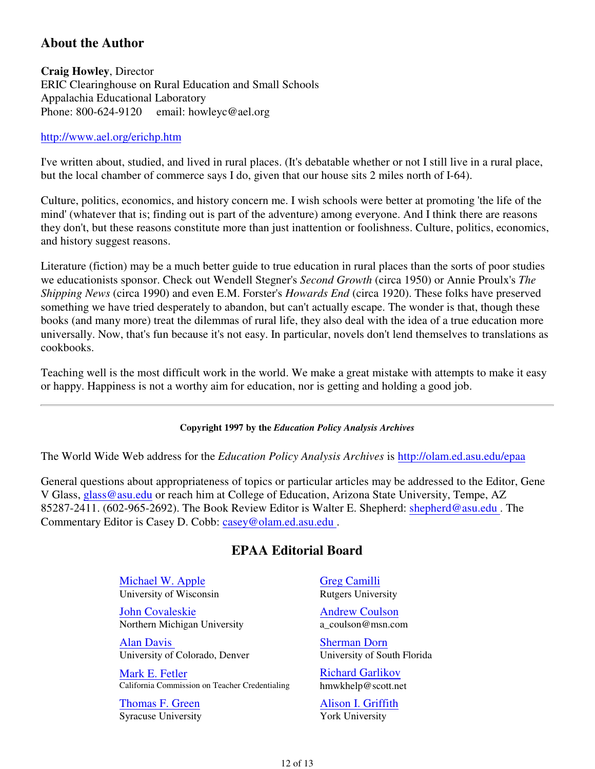# **About the Author**

**Craig Howley**, Director ERIC Clearinghouse on Rural Education and Small Schools Appalachia Educational Laboratory Phone: 800-624-9120 email: howleyc@ael.org

#### http://www.ael.org/erichp.htm

I've written about, studied, and lived in rural places. (It's debatable whether or not I still live in a rural place, but the local chamber of commerce says I do, given that our house sits 2 miles north of I-64).

Culture, politics, economics, and history concern me. I wish schools were better at promoting 'the life of the mind' (whatever that is; finding out is part of the adventure) among everyone. And I think there are reasons they don't, but these reasons constitute more than just inattention or foolishness. Culture, politics, economics, and history suggest reasons.

Literature (fiction) may be a much better guide to true education in rural places than the sorts of poor studies we educationists sponsor. Check out Wendell Stegner's *Second Growth* (circa 1950) or Annie Proulx's *The Shipping News* (circa 1990) and even E.M. Forster's *Howards End* (circa 1920). These folks have preserved something we have tried desperately to abandon, but can't actually escape. The wonder is that, though these books (and many more) treat the dilemmas of rural life, they also deal with the idea of a true education more universally. Now, that's fun because it's not easy. In particular, novels don't lend themselves to translations as cookbooks.

Teaching well is the most difficult work in the world. We make a great mistake with attempts to make it easy or happy. Happiness is not a worthy aim for education, nor is getting and holding a good job.

#### **Copyright 1997 by the** *Education Policy Analysis Archives*

The World Wide Web address for the *Education Policy Analysis Archives* is http://olam.ed.asu.edu/epaa

General questions about appropriateness of topics or particular articles may be addressed to the Editor, Gene V Glass, glass@asu.edu or reach him at College of Education, Arizona State University, Tempe, AZ 85287-2411. (602-965-2692). The Book Review Editor is Walter E. Shepherd: shepherd@asu.edu . The Commentary Editor is Casey D. Cobb: casey@olam.ed.asu.edu .

#### **EPAA Editorial Board**

Michael W. Apple University of Wisconsin

John Covaleskie Northern Michigan University

Alan Davis University of Colorado, Denver

Mark E. Fetler California Commission on Teacher Credentialing

Thomas F. Green Syracuse University Greg Camilli Rutgers University

Andrew Coulson a\_coulson@msn.com

Sherman Dorn University of South Florida

Richard Garlikov hmwkhelp@scott.net

Alison I. Griffith York University